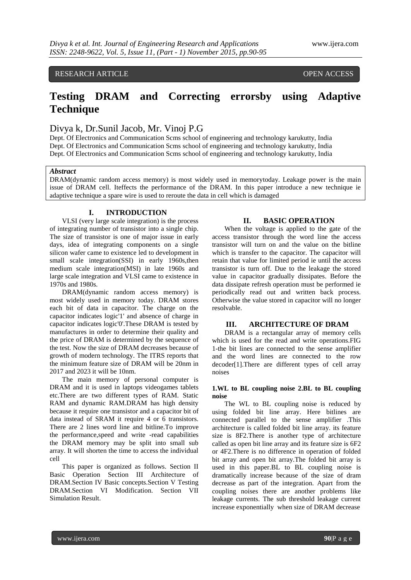RESEARCH ARTICLE **CONSERVERS** OPEN ACCESS

# **Testing DRAM and Correcting errorsby using Adaptive Technique**

Divya k, Dr.Sunil Jacob, Mr. Vinoj P.G

Dept. Of Electronics and Communication Scms school of engineering and technology karukutty, India Dept. Of Electronics and Communication Scms school of engineering and technology karukutty, India Dept. Of Electronics and Communication Scms school of engineering and technology karukutty, India

#### *Abstract*

DRAM(dynamic random access memory) is most widely used in memorytoday. Leakage power is the main issue of DRAM cell. Iteffects the performance of the DRAM. In this paper introduce a new technique ie adaptive technique a spare wire is used to reroute the data in cell which is damaged

#### **I. INTRODUCTION**

VLSI (very large scale integration) is the process of integrating number of transistor into a single chip. The size of transistor is one of major issue in early days, idea of integrating components on a single silicon wafer came to existence led to development in small scale integration(SSI) in early 1960s, then medium scale integration(MSI) in late 1960s and large scale integration and VLSI came to existence in 1970s and 1980s.

DRAM(dynamic random access memory) is most widely used in memory today. DRAM stores each bit of data in capacitor. The charge on the capacitor indicates logic'1' and absence of charge in capacitor indicates logic'0'.These DRAM is tested by manufactures in order to determine their quality and the price of DRAM is determined by the sequence of the test. Now the size of DRAM decreases because of growth of modern technology. The ITRS reports that the minimum feature size of DRAM will be 20nm in 2017 and 2023 it will be 10nm.

The main memory of personal computer is DRAM and it is used in laptops videogames tablets etc.There are two different types of RAM. Static RAM and dynamic RAM.DRAM has high density because it require one transistor and a capacitor bit of data instead of SRAM it require 4 or 6 transistors. There are 2 lines word line and bitline.To improve the performance,speed and write -read capabilities the DRAM memory may be split into small sub array. It will shorten the time to access the individual cell

This paper is organized as follows. Section II Basic Operation Section III Architecture of DRAM.Section IV Basic concepts.Section V Testing DRAM.Section VI Modification. Section VII Simulation Result.

#### **II. BASIC OPERATION**

When the voltage is applied to the gate of the access transistor through the word line the access transistor will turn on and the value on the bitline which is transfer to the capacitor. The capacitor will retain that value for limited period ie until the access transistor is turn off. Due to the leakage the stored value in capacitor gradually dissipates. Before the data dissipate refresh operation must be performed ie periodically read out and written back process. Otherwise the value stored in capacitor will no longer resolvable.

#### **III. ARCHITECTURE OF DRAM**

DRAM is a rectangular array of memory cells which is used for the read and write operations.FIG 1-the bit lines are connected to the sense amplifier and the word lines are connected to the row decoder[1].There are different types of cell array noises

#### **1.WL to BL coupling noise 2.BL to BL coupling noise**

The WL to BL coupling noise is reduced by using folded bit line array. Here bitlines are connected parallel to the sense amplifier .This architecture is called folded bit line array. its feature size is 8F2.There is another type of architecture called as open bit line array and its feature size is 6F2 or 4F2.There is no difference in operation of folded bit array and open bit array.The folded bit array is used in this paper.BL to BL coupling noise is dramatically increase because of the size of dram decrease as part of the integration. Apart from the coupling noises there are another problems like leakage currents. The sub threshold leakage current increase exponentially when size of DRAM decrease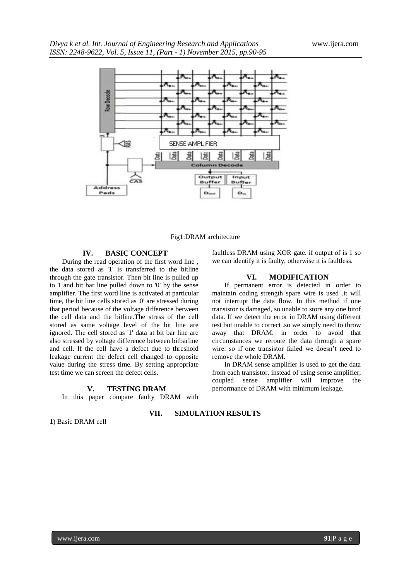

Fig1:DRAM architecture

### **IV. BASIC CONCEPT**

During the read operation of the first word line , the data stored as '1' is transferred to the bitline through the gate transistor. Then bit line is pulled up to 1 and bit bar line pulled down to '0' by the sense amplifier. The first word line is activated at particular time, the bit line cells stored as '0' are stressed during that period because of the voltage difference between the cell data and the bitline.The stress of the cell stored as same voltage level of the bit line are ignored. The cell stored as '1' data at bit bar line are also stressed by voltage difference between bitbarline and cell. If the cell have a defect due to threshold leakage current the defect cell changed to opposite value during the stress time. By setting appropriate test time we can screen the defect cells.

#### **V. TESTING DRAM**

In this paper compare faulty DRAM with

faultless DRAM using XOR gate. if output of is 1 so we can identify it is faulty, otherwise it is faultless.

#### **VI. MODIFICATION**

If permanent error is detected in order to maintain coding strength spare wire is used .it will not interrupt the data flow. In this method if one transistor is damaged, so unable to store any one bitof data. If we detect the error in DRAM using different test but unable to correct .so we simply need to throw away that DRAM. in order to avoid that circumstances we reroute the data through a spare wire. so if one transistor failed we doesn't need to remove the whole DRAM.

In DRAM sense amplifier is used to get the data from each transistor. instead of using sense amplifier, coupled sense amplifier will improve the performance of DRAM with minimum leakage.

**1**) Basic DRAM cell

### **VII. SIMULATION RESULTS**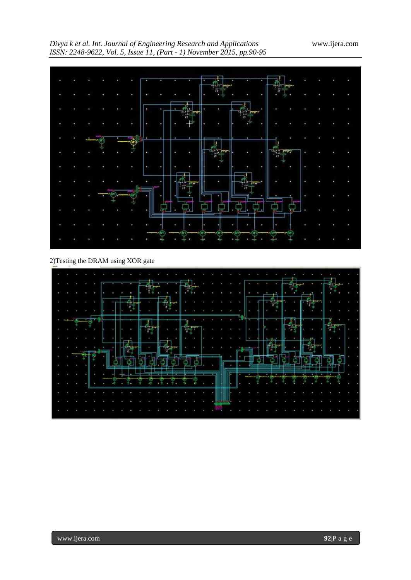# *Divya k et al. Int. Journal of Engineering Research and Applications* www.ijera.com *ISSN: 2248-9622, Vol. 5, Issue 11, (Part - 1) November 2015, pp.90-95*



## 2)Testing the DRAM using XOR gate

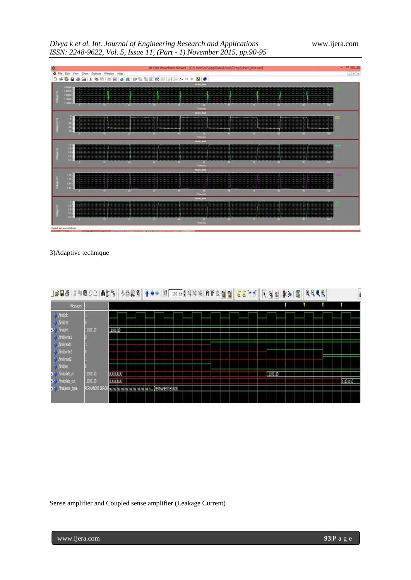# *Divya k et al. Int. Journal of Engineering Research and Applications* www.ijera.com *ISSN: 2248-9622, Vol. 5, Issue 11, (Part - 1) November 2015, pp.90-95*



# 3)Adaptive technique

| DGB@ \$@@QQ ADB                                |               |          | ◇西段图   ↑ ← →   BT 100 m → B N B B   P D R & B B   <mark>よよ</mark> と+ |  |  |  |  |  |  |           | 下电脑 陈沙 電 |  | 9999 |  |          |  |
|------------------------------------------------|---------------|----------|----------------------------------------------------------------------|--|--|--|--|--|--|-----------|----------|--|------|--|----------|--|
| Messages                                       |               |          |                                                                      |  |  |  |  |  |  |           |          |  |      |  |          |  |
| * fraids<br>* finalist                         |               |          |                                                                      |  |  |  |  |  |  |           |          |  |      |  |          |  |
| - <sup>2</sup> finalinit<br><b>V</b> Fraheria! | 11101110      | 11101110 |                                                                      |  |  |  |  |  |  |           |          |  |      |  |          |  |
| * / final/read 1<br>* Frailenz                 |               |          |                                                                      |  |  |  |  |  |  |           |          |  |      |  |          |  |
| <b>V</b> Frairead2<br>V finalen                |               |          |                                                                      |  |  |  |  |  |  |           |          |  |      |  |          |  |
| a. <sup>2</sup> / final/data_n                 | 11101110      | uuuu     |                                                                      |  |  |  |  |  |  | [11101110 |          |  |      |  |          |  |
| te firalidata out                              | 11101110      | www.     |                                                                      |  |  |  |  |  |  |           |          |  |      |  | 11101110 |  |
| 14 / finalients type                           | PERMANENT ERI |          | nu nu nu nu nu nu nu nu nu nu n PERMANENT ERROR                      |  |  |  |  |  |  |           |          |  |      |  |          |  |

Sense amplifier and Coupled sense amplifier (Leakage Current)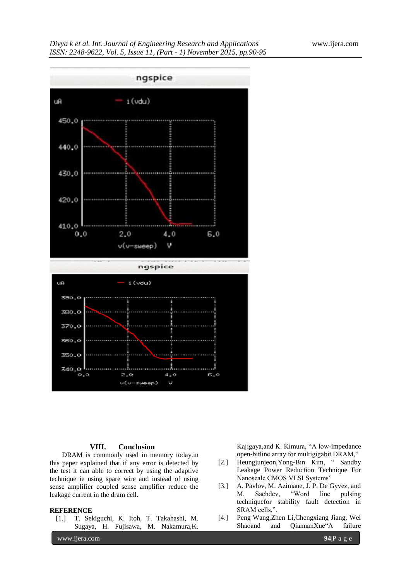

#### **VIII. Conclusion**

DRAM is commonly used in memory today.in this paper explained that if any error is detected by the test it can able to correct by using the adaptive technique ie using spare wire and instead of using sense amplifier coupled sense amplifier reduce the leakage current in the dram cell.

#### **REFERENCE**

[1.] T. Sekiguchi, K. Itoh, T. Takahashi, M. Sugaya, H. Fujisawa, M. Nakamura,K.

www.ijera.com **94**|P a g e

Kajigaya,and K. Kimura, "A low-impedance open-bitline array for multigigabit DRAM,"

- [2.] Heungjunjeon,Yong-Bin Kim, " Sandby Leakage Power Reduction Technique For Nanoscale CMOS VLSI Systems"
- [3.] A. Pavlov, M. Azimane, J. P. De Gyvez, and<br>M. Sachdev, "Word line pulsing M. Sachdev, "Word line pulsing techniquefor stability fault detection in SRAM cells,".
- [4.] Peng Wang,Zhen Li,Chengxiang Jiang, Wei Shaoand and QiannanXue"A failure